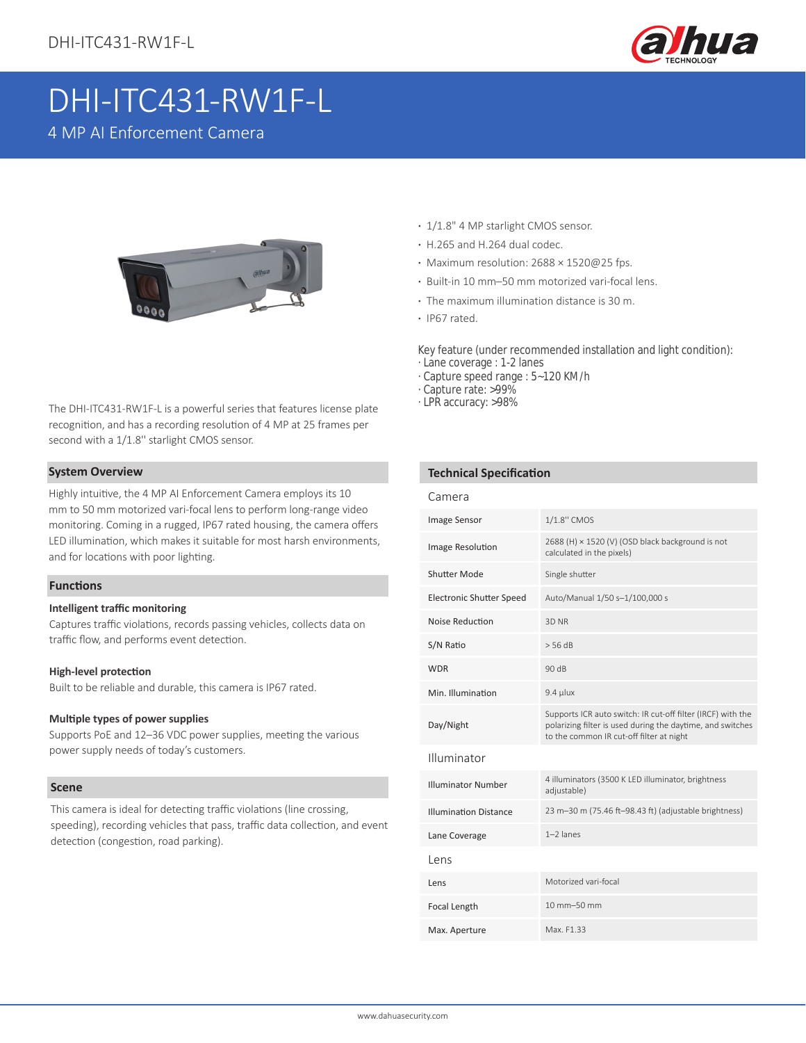

# DHI-ITC431-RW1F-L

4 MP AI Enforcement Camera



The DHI-ITC431-RW1F-L is a powerful series that features license plate recognition, and has a recording resolution of 4 MP at 25 frames per second with a 1/1.8'' starlight CMOS sensor.

#### **System Overview**

Highly intuitive, the 4 MP AI Enforcement Camera employs its 10 mm to 50 mm motorized vari-focal lens to perform long-range video monitoring. Coming in a rugged, IP67 rated housing, the camera offers LED illumination, which makes it suitable for most harsh environments, and for locations with poor lighting.

#### **Functions**

#### **Intelligent traffic monitoring**

Captures traffic violations, records passing vehicles, collects data on traffic flow, and performs event detection.

#### **High-level protection**

Built to be reliable and durable, this camera is IP67 rated.

#### **Multiple types of power supplies**

Supports PoE and 12–36 VDC power supplies, meeting the various power supply needs of today's customers.

#### **Scene**

This camera is ideal for detecting traffic violations (line crossing, speeding), recording vehicles that pass, traffic data collection, and event detection (congestion, road parking).

- **·** 1/1.8" 4 MP starlight CMOS sensor.
- **·** H.265 and H.264 dual codec.
- **·** Maximum resolution: 2688 × 1520@25 fps.
- **·** Built-in 10 mm–50 mm motorized vari-focal lens.
- **·** The maximum illumination distance is 30 m.
- **·** IP67 rated.

Key feature (under recommended installation and light condition): · Lane coverage : 1-2 lanes

- · Capture speed range : 5~120 KM/h
- · Capture rate: >99%
- · LPR accuracy: >98%

#### **Technical Specification**

| Camera                          |                                                                                                                                                                       |  |
|---------------------------------|-----------------------------------------------------------------------------------------------------------------------------------------------------------------------|--|
| Image Sensor                    | 1/1.8" CMOS                                                                                                                                                           |  |
| Image Resolution                | 2688 (H) × 1520 (V) (OSD black background is not<br>calculated in the pixels)                                                                                         |  |
| <b>Shutter Mode</b>             | Single shutter                                                                                                                                                        |  |
| <b>Electronic Shutter Speed</b> | Auto/Manual 1/50 s-1/100,000 s                                                                                                                                        |  |
| Noise Reduction                 | 3D NR                                                                                                                                                                 |  |
| S/N Ratio                       | $>$ 56 dB                                                                                                                                                             |  |
| <b>WDR</b>                      | 90 dB                                                                                                                                                                 |  |
| Min. Illumination               | $9.4$ µlux                                                                                                                                                            |  |
| Day/Night                       | Supports ICR auto switch: IR cut-off filter (IRCF) with the<br>polarizing filter is used during the daytime, and switches<br>to the common IR cut-off filter at night |  |
| Illuminator                     |                                                                                                                                                                       |  |
| <b>Illuminator Number</b>       | 4 illuminators (3500 K LED illuminator, brightness<br>adjustable)                                                                                                     |  |
| <b>Illumination Distance</b>    | 23 m-30 m (75.46 ft-98.43 ft) (adjustable brightness)                                                                                                                 |  |
| Lane Coverage                   | $1-2$ lanes                                                                                                                                                           |  |
| l ens                           |                                                                                                                                                                       |  |
| Lens                            | Motorized vari-focal                                                                                                                                                  |  |
| Focal Length                    | 10 mm-50 mm                                                                                                                                                           |  |
| Max. Aperture                   | Max. F1.33                                                                                                                                                            |  |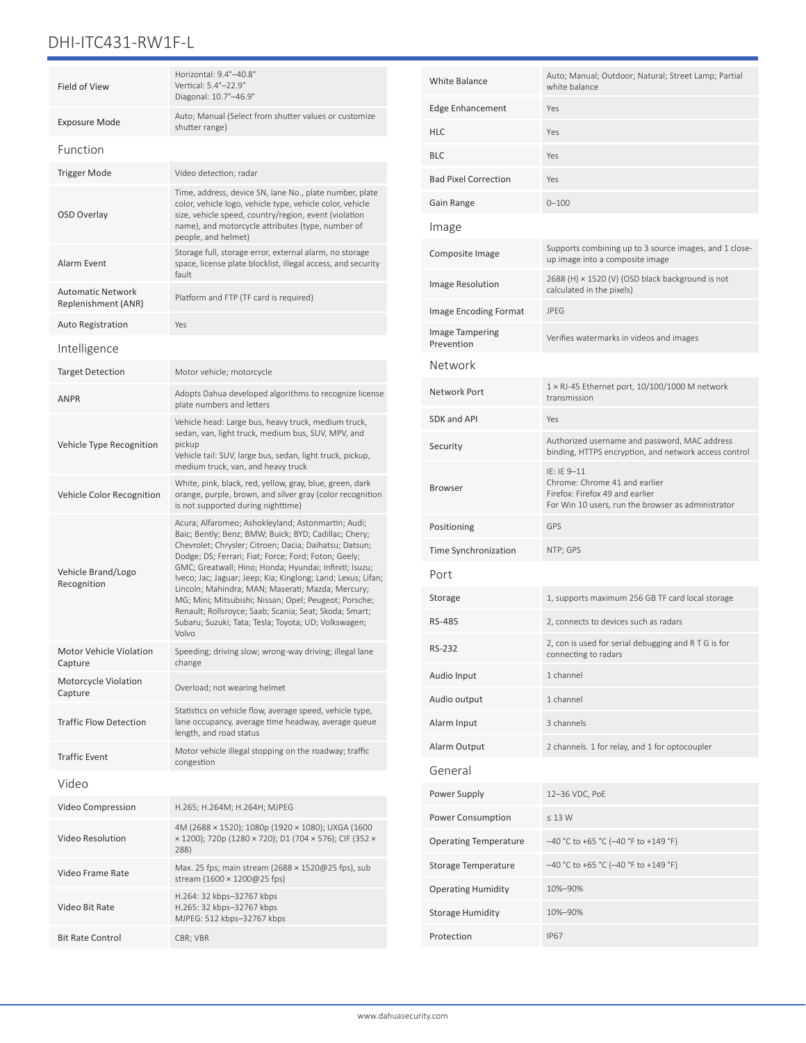# DHI-ITC431-RW1F-L

| Field of View                                   | Horizontal: 9.4°-40.8°<br>Vertical: 5.4°-22.9°<br>Diagonal: 10.7°-46.9°                                                                                                                                                                                                                                                                                                                                                                                                                                                                                                                          |  |  |
|-------------------------------------------------|--------------------------------------------------------------------------------------------------------------------------------------------------------------------------------------------------------------------------------------------------------------------------------------------------------------------------------------------------------------------------------------------------------------------------------------------------------------------------------------------------------------------------------------------------------------------------------------------------|--|--|
| Exposure Mode                                   | Auto; Manual (Select from shutter values or customize<br>shutter range)                                                                                                                                                                                                                                                                                                                                                                                                                                                                                                                          |  |  |
| Function                                        |                                                                                                                                                                                                                                                                                                                                                                                                                                                                                                                                                                                                  |  |  |
| <b>Trigger Mode</b>                             | Video detection; radar                                                                                                                                                                                                                                                                                                                                                                                                                                                                                                                                                                           |  |  |
| OSD Overlay                                     | Time, address, device SN, lane No., plate number, plate<br>color, vehicle logo, vehicle type, vehicle color, vehicle<br>size, vehicle speed, country/region, event (violation<br>name), and motorcycle attributes (type, number of<br>people, and helmet)                                                                                                                                                                                                                                                                                                                                        |  |  |
| Alarm Event                                     | Storage full, storage error, external alarm, no storage<br>space, license plate blocklist, illegal access, and security<br>fault                                                                                                                                                                                                                                                                                                                                                                                                                                                                 |  |  |
| <b>Automatic Network</b><br>Replenishment (ANR) | Platform and FTP (TF card is required)                                                                                                                                                                                                                                                                                                                                                                                                                                                                                                                                                           |  |  |
| <b>Auto Registration</b>                        | Yes                                                                                                                                                                                                                                                                                                                                                                                                                                                                                                                                                                                              |  |  |
| Intelligence                                    |                                                                                                                                                                                                                                                                                                                                                                                                                                                                                                                                                                                                  |  |  |
| <b>Target Detection</b>                         | Motor vehicle; motorcycle                                                                                                                                                                                                                                                                                                                                                                                                                                                                                                                                                                        |  |  |
| <b>ANPR</b>                                     | Adopts Dahua developed algorithms to recognize license<br>plate numbers and letters                                                                                                                                                                                                                                                                                                                                                                                                                                                                                                              |  |  |
| Vehicle Type Recognition                        | Vehicle head: Large bus, heavy truck, medium truck,<br>sedan, van, light truck, medium bus, SUV, MPV, and<br>pickup<br>Vehicle tail: SUV, large bus, sedan, light truck, pickup,<br>medium truck, van, and heavy truck                                                                                                                                                                                                                                                                                                                                                                           |  |  |
| Vehicle Color Recognition                       | White, pink, black, red, yellow, gray, blue, green, dark<br>orange, purple, brown, and silver gray (color recognition<br>is not supported during nighttime)                                                                                                                                                                                                                                                                                                                                                                                                                                      |  |  |
| Vehicle Brand/Logo<br>Recognition               | Acura; Alfaromeo; Ashokleyland; Astonmartin; Audi;<br>Baic; Bently; Benz; BMW; Buick; BYD; Cadillac; Chery;<br>Chevrolet; Chrysler; Citroen; Dacia; Daihatsu; Datsun;<br>Dodge; DS; Ferrari; Fiat; Force; Ford; Foton; Geely;<br>GMC; Greatwall; Hino; Honda; Hyundai; Infiniti; Isuzu;<br>Iveco; Jac; Jaguar; Jeep; Kia; Kinglong; Land; Lexus; Lifan;<br>Lincoln; Mahindra; MAN; Maserati; Mazda; Mercury;<br>MG; Mini; Mitsubishi; Nissan; Opel; Peugeot; Porsche;<br>Renault; Rollsroyce; Saab; Scania; Seat; Skoda; Smart;<br>Subaru; Suzuki; Tata; Tesla; Toyota; UD; Volkswagen;<br>Volvo |  |  |
| <b>Motor Vehicle Violation</b><br>Capture       | Speeding; driving slow; wrong-way driving; illegal lane<br>change                                                                                                                                                                                                                                                                                                                                                                                                                                                                                                                                |  |  |
| Motorcycle Violation<br>Capture                 | Overload; not wearing helmet                                                                                                                                                                                                                                                                                                                                                                                                                                                                                                                                                                     |  |  |
| <b>Traffic Flow Detection</b>                   | Statistics on vehicle flow, average speed, vehicle type,<br>lane occupancy, average time headway, average queue<br>length, and road status                                                                                                                                                                                                                                                                                                                                                                                                                                                       |  |  |
| <b>Traffic Event</b>                            | Motor vehicle illegal stopping on the roadway; traffic<br>congestion                                                                                                                                                                                                                                                                                                                                                                                                                                                                                                                             |  |  |
| Video                                           |                                                                                                                                                                                                                                                                                                                                                                                                                                                                                                                                                                                                  |  |  |
| Video Compression                               | H.265; H.264M; H.264H; MJPEG                                                                                                                                                                                                                                                                                                                                                                                                                                                                                                                                                                     |  |  |
| Video Resolution                                | 4M (2688 × 1520); 1080p (1920 × 1080); UXGA (1600<br>x 1200); 720p (1280 x 720); D1 (704 x 576); CIF (352 x<br>288)                                                                                                                                                                                                                                                                                                                                                                                                                                                                              |  |  |
| Video Frame Rate                                | Max. 25 fps; main stream (2688 × 1520@25 fps), sub<br>stream (1600 × 1200@25 fps)                                                                                                                                                                                                                                                                                                                                                                                                                                                                                                                |  |  |
| Video Bit Rate                                  | H.264: 32 kbps-32767 kbps<br>H.265: 32 kbps-32767 kbps<br>MJPEG: 512 kbps-32767 kbps                                                                                                                                                                                                                                                                                                                                                                                                                                                                                                             |  |  |
| <b>Bit Rate Control</b>                         | CBR; VBR                                                                                                                                                                                                                                                                                                                                                                                                                                                                                                                                                                                         |  |  |

| <b>White Balance</b>                 | Auto; Manual; Outdoor; Natural; Street Lamp; Partial<br>white balance                                                                 |  |
|--------------------------------------|---------------------------------------------------------------------------------------------------------------------------------------|--|
| <b>Edge Enhancement</b>              | Yes                                                                                                                                   |  |
| HLC                                  | Yes                                                                                                                                   |  |
| BLC                                  | Yes                                                                                                                                   |  |
| <b>Bad Pixel Correction</b>          | Yes                                                                                                                                   |  |
| Gain Range                           | $0 - 100$                                                                                                                             |  |
| Image                                |                                                                                                                                       |  |
| Composite Image                      | Supports combining up to 3 source images, and 1 close-<br>up image into a composite image                                             |  |
| <b>Image Resolution</b>              | 2688 (H) × 1520 (V) (OSD black background is not<br>calculated in the pixels)                                                         |  |
| Image Encoding Format                | <b>JPEG</b>                                                                                                                           |  |
| <b>Image Tampering</b><br>Prevention | Verifies watermarks in videos and images                                                                                              |  |
| Network                              |                                                                                                                                       |  |
| Network Port                         | 1 × RJ-45 Ethernet port, 10/100/1000 M network<br>transmission                                                                        |  |
| <b>SDK and API</b>                   | Yes                                                                                                                                   |  |
| Security                             | Authorized username and password, MAC address<br>binding, HTTPS encryption, and network access control                                |  |
| <b>Browser</b>                       | IE: IE 9-11<br>Chrome: Chrome 41 and earlier<br>Firefox: Firefox 49 and earlier<br>For Win 10 users, run the browser as administrator |  |
| Positioning                          | GPS                                                                                                                                   |  |
| Time Synchronization                 | NTP; GPS                                                                                                                              |  |
| Port                                 |                                                                                                                                       |  |
| Storage                              | 1, supports maximum 256 GB TF card local storage                                                                                      |  |
| RS-485                               | 2, connects to devices such as radars                                                                                                 |  |
| RS-232                               | 2, con is used for serial debugging and RTG is for<br>connecting to radars                                                            |  |
| Audio Input                          | 1 channel                                                                                                                             |  |
| Audio output                         | 1 channel                                                                                                                             |  |
| Alarm Input                          | 3 channels                                                                                                                            |  |
| Alarm Output                         | 2 channels. 1 for relay, and 1 for optocoupler                                                                                        |  |
| General                              |                                                                                                                                       |  |
| Power Supply                         | 12-36 VDC, PoE                                                                                                                        |  |
| Power Consumption                    | $\leq$ 13 W                                                                                                                           |  |
| <b>Operating Temperature</b>         | -40 °C to +65 °C (-40 °F to +149 °F)                                                                                                  |  |
| Storage Temperature                  | -40 °C to +65 °C (-40 °F to +149 °F)                                                                                                  |  |
| <b>Operating Humidity</b>            | 10%-90%                                                                                                                               |  |
| <b>Storage Humidity</b>              | 10%-90%                                                                                                                               |  |
| Protection                           | <b>IP67</b>                                                                                                                           |  |